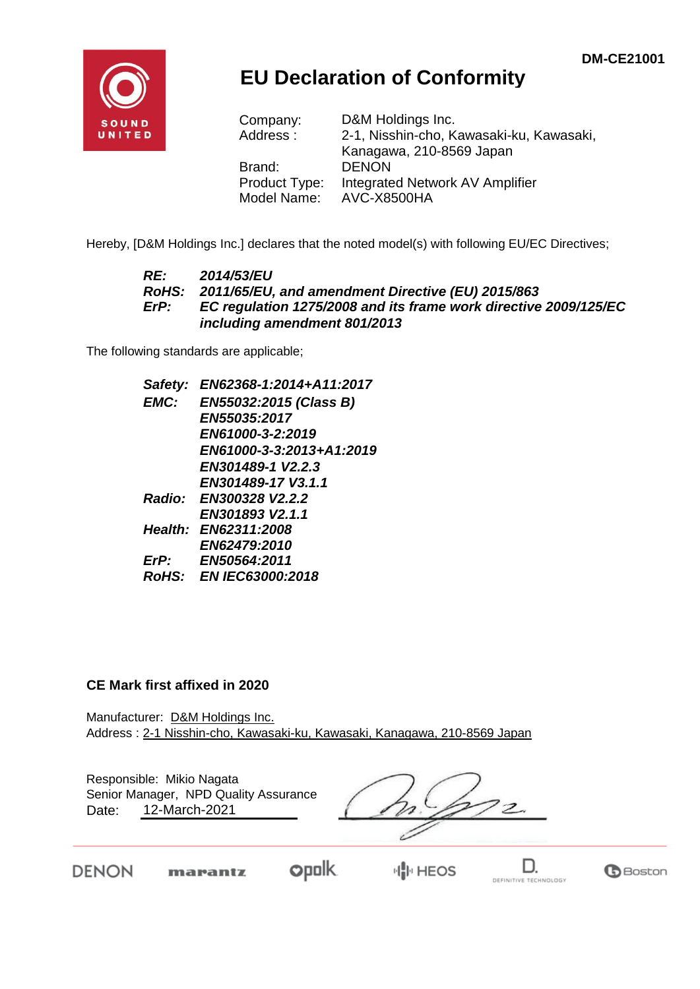**B**Boston



## **EU Declaration of Conformity**

| Company:      | D&M Holdings Inc.                        |
|---------------|------------------------------------------|
| Address:      | 2-1, Nisshin-cho, Kawasaki-ku, Kawasaki, |
|               | Kanagawa, 210-8569 Japan                 |
| Brand:        | <b>DENON</b>                             |
| Product Type: | Integrated Network AV Amplifier          |
| Model Name:   | AVC-X8500HA                              |

Hereby, [D&M Holdings Inc.] declares that the noted model(s) with following EU/EC Directives;

#### *RE: 2014/53/EU RoHS: 2011/65/EU, and amendment Directive (EU) 2015/863 ErP: EC regulation 1275/2008 and its frame work directive 2009/125/EC including amendment 801/2013*

The following standards are applicable;

*Safety: EN62368-1:2014+A11:2017 EMC: EN55032:2015 (Class B) EN55035:2017 EN61000-3-2:2019 EN61000-3-3:2013+A1:2019 EN301489-1 V2.2.3 EN301489-17 V3.1.1 Radio: EN300328 V2.2.2 EN301893 V2.1.1 Health: EN62311:2008 EN62479:2010 ErP: EN50564:2011 RoHS: EN IEC63000:2018*

#### **CE Mark first affixed in 2020**

DENON

Manufacturer: D&M Holdings Inc. Address : 2-1 Nisshin-cho, Kawasaki-ku, Kawasaki, Kanagawa, 210-8569 Japan

| Responsible: Mikio Nagata<br>Senior Manager, NPD Quality Assurance<br>12-March-2021<br>Date: |         |                |  |
|----------------------------------------------------------------------------------------------|---------|----------------|--|
| <b>FNON</b>                                                                                  | marantz | <b>IN HEOS</b> |  |

DEFINITIVE TECHNOLOGY